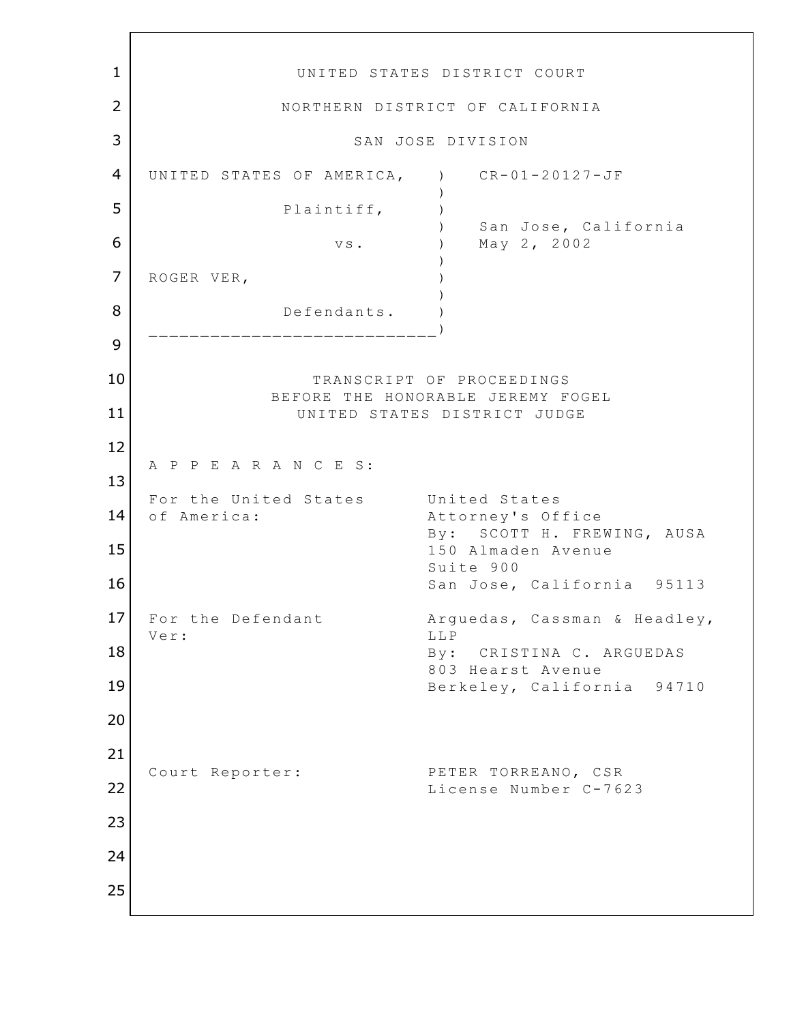1 UNITED STATES DISTRICT COURT 2 NORTHERN DISTRICT OF CALIFORNIA 3 SAN JOSE DIVISION 4 UNITED STATES OF AMERICA, ) CR-01-20127-JF  $)$ 5 Plaintiff,  $\overline{5}$  ) San Jose, California **6** vs. ) May 2, 2002  $)$ 7 ROGER VER,  $)$ 8 Defendants. \_\_\_\_\_\_\_\_\_\_\_\_\_\_\_\_\_\_\_\_\_\_\_\_\_ 9 10 TRANSCRIPT OF PROCEEDINGS BEFORE THE HONORABLE JEREMY FOGEL 11 UNITED STATES DISTRICT JUDGE 12 A P P E A R A N C E S: 13 For the United States United States 14 of America: Attorney's Office By: SCOTT H. FREWING, AUSA 15 | 150 Almaden Avenue Suite 900 16 San Jose, California 95113 17 For the Defendant Arguedas, Cassman & Headley, Ver: LLP 18 By: CRISTINA C. ARGUEDAS 803 Hearst Avenue 19 Berkeley, California 94710 20 21 Court Reporter: PETER TORREANO, CSR 22 License Number C-7623 23 24 25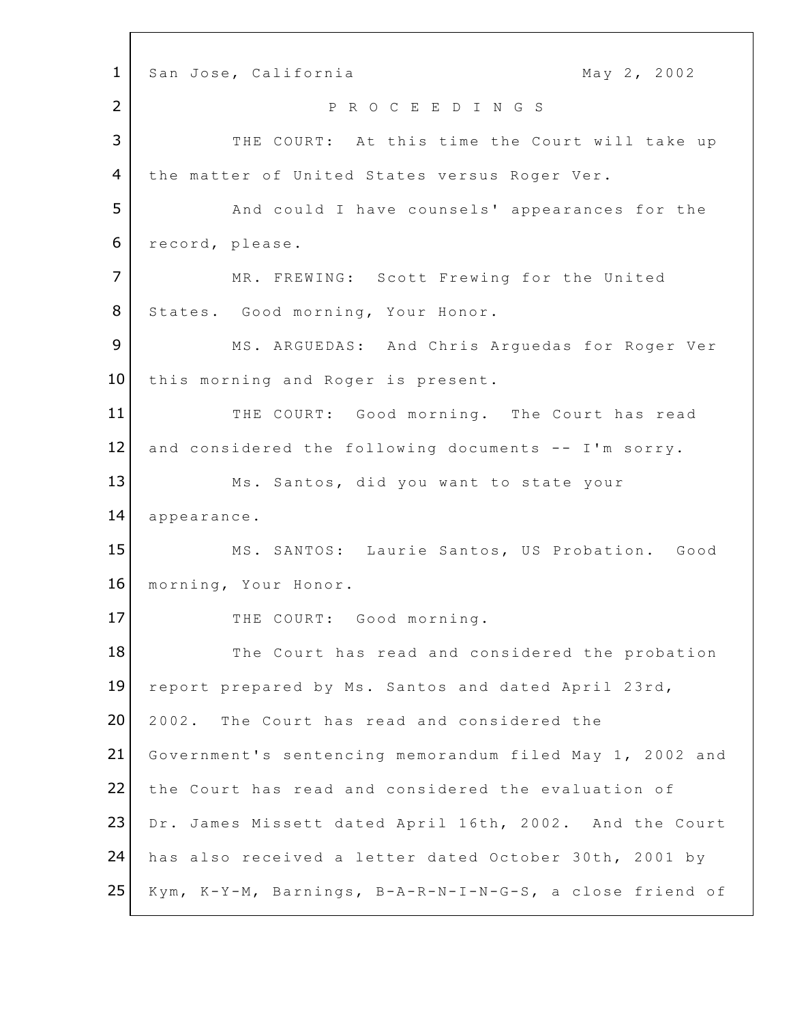1 San Jose, California 1 May 2, 2002 2 P R O C E E D I N G S 3 THE COURT: At this time the Court will take up 4 the matter of United States versus Roger Ver. **5** And could I have counsels' appearances for the 6 record, please. 7 | MR. FREWING: Scott Frewing for the United 8 States. Good morning, Your Honor. 9 MS. ARGUEDAS: And Chris Arguedas for Roger Ver 10 this morning and Roger is present. 11 THE COURT: Good morning. The Court has read  $12$  and considered the following documents -- I'm sorry. 13 Ms. Santos, did you want to state your 14 appearance. 15 | MS. SANTOS: Laurie Santos, US Probation. Good 16 morning, Your Honor. 17 THE COURT: Good morning. 18 The Court has read and considered the probation 19 report prepared by Ms. Santos and dated April 23rd, 20 2002. The Court has read and considered the 21 Government's sentencing memorandum filed May 1, 2002 and 22 the Court has read and considered the evaluation of 23 Dr. James Missett dated April 16th, 2002. And the Court 24 has also received a letter dated October 30th, 2001 by 25 Kym, K-Y-M, Barnings, B-A-R-N-I-N-G-S, a close friend of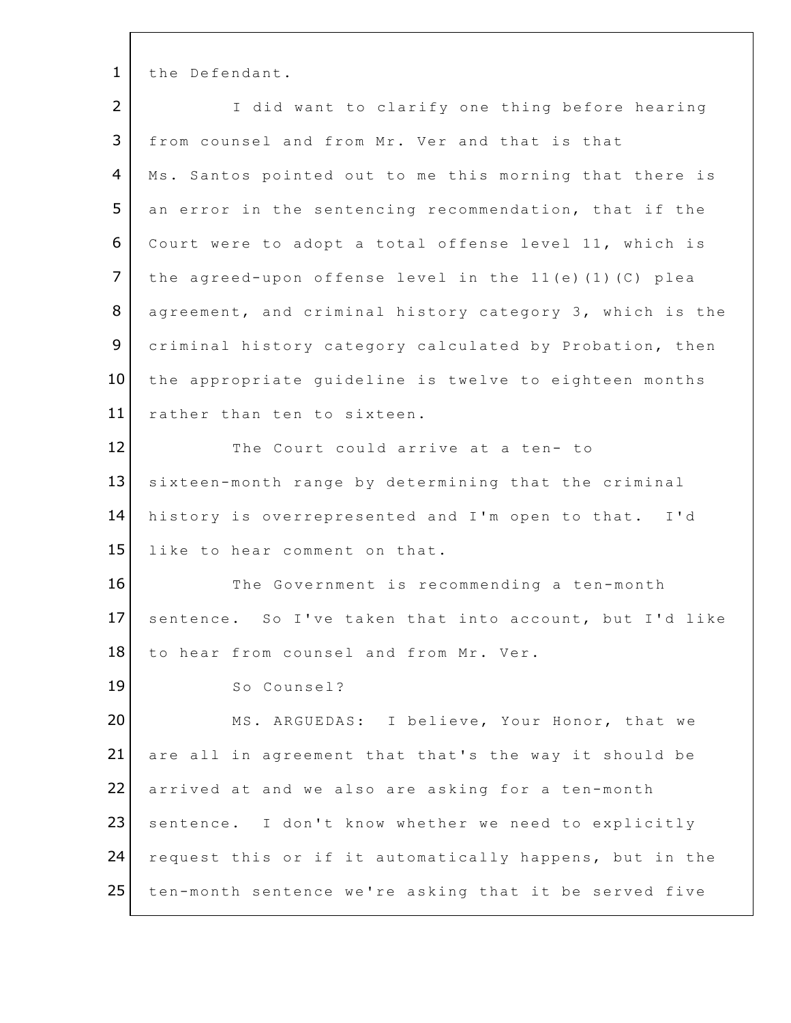1 the Defendant.

| $\overline{2}$ | I did want to clarify one thing before hearing           |
|----------------|----------------------------------------------------------|
| 3              | from counsel and from Mr. Ver and that is that           |
| 4              | Ms. Santos pointed out to me this morning that there is  |
| 5              | an error in the sentencing recommendation, that if the   |
| 6              | Court were to adopt a total offense level 11, which is   |
| $\overline{7}$ | the agreed-upon offense level in the 11(e)(1)(C) plea    |
| 8              | agreement, and criminal history category 3, which is the |
| 9              | criminal history category calculated by Probation, then  |
| 10             | the appropriate guideline is twelve to eighteen months   |
| 11             | rather than ten to sixteen.                              |
| 12             | The Court could arrive at a ten- to                      |
| 13             | sixteen-month range by determining that the criminal     |
| 14             | history is overrepresented and I'm open to that. I'd     |
| 15             | like to hear comment on that.                            |
| 16             | The Government is recommending a ten-month               |
| 17             | sentence. So I've taken that into account, but I'd like  |
| 18             | to hear from counsel and from Mr. Ver.                   |
| 19             | So Counsel?                                              |
| 20             | MS. ARGUEDAS: I believe, Your Honor, that we             |
| 21             | are all in agreement that that's the way it should be    |
| 22             | arrived at and we also are asking for a ten-month        |
| 23             | sentence. I don't know whether we need to explicitly     |
| 24             | request this or if it automatically happens, but in the  |
| 25             | ten-month sentence we're asking that it be served five   |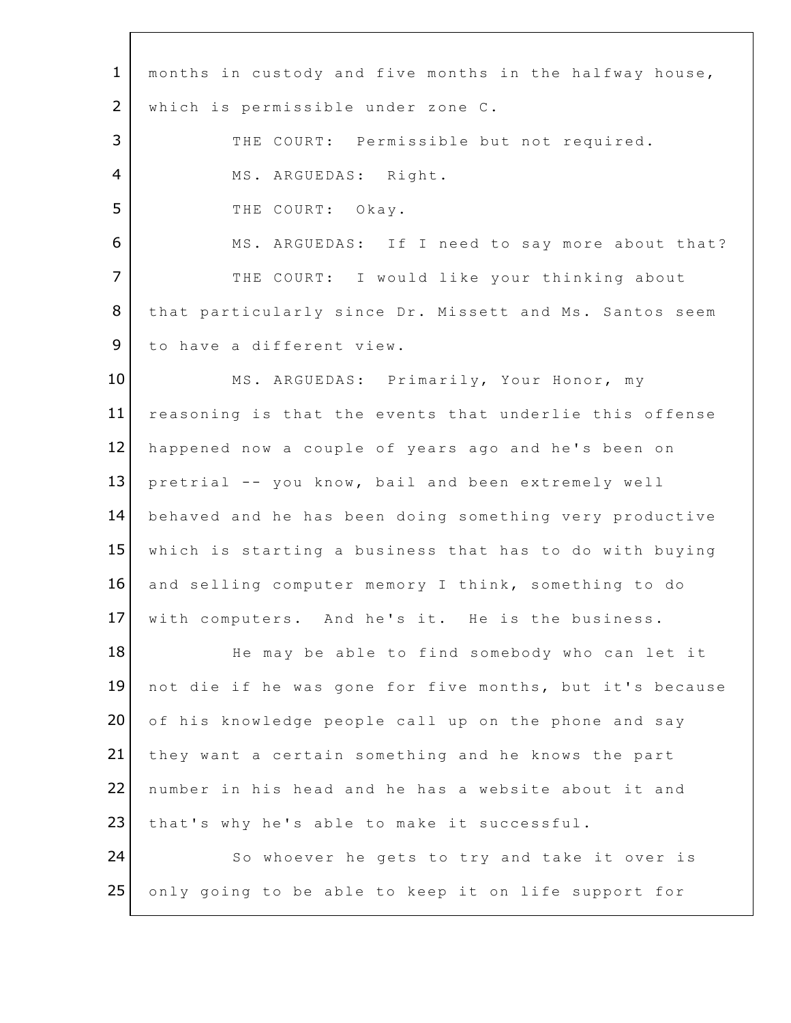| $\mathbf{1}$   | months in custody and five months in the halfway house,  |
|----------------|----------------------------------------------------------|
| 2              | which is permissible under zone C.                       |
| 3              | THE COURT: Permissible but not required.                 |
| $\overline{4}$ | MS. ARGUEDAS: Right.                                     |
| 5              | THE COURT: Okay.                                         |
| 6              | MS. ARGUEDAS: If I need to say more about that?          |
| $\overline{7}$ | THE COURT: I would like your thinking about              |
| 8              | that particularly since Dr. Missett and Ms. Santos seem  |
| 9              | to have a different view.                                |
| 10             | MS. ARGUEDAS: Primarily, Your Honor, my                  |
| 11             | reasoning is that the events that underlie this offense  |
| 12             | happened now a couple of years ago and he's been on      |
| 13             | pretrial -- you know, bail and been extremely well       |
| 14             | behaved and he has been doing something very productive  |
| 15             | which is starting a business that has to do with buying  |
| 16             | and selling computer memory I think, something to do     |
| 17             | with computers. And he's it. He is the business.         |
| 18             | He may be able to find somebody who can let it           |
| 19             | not die if he was gone for five months, but it's because |
| 20             | of his knowledge people call up on the phone and say     |
| 21             | they want a certain something and he knows the part      |
| 22             | number in his head and he has a website about it and     |
| 23             | that's why he's able to make it successful.              |
| 24             | So whoever he gets to try and take it over is            |
| 25             | only going to be able to keep it on life support for     |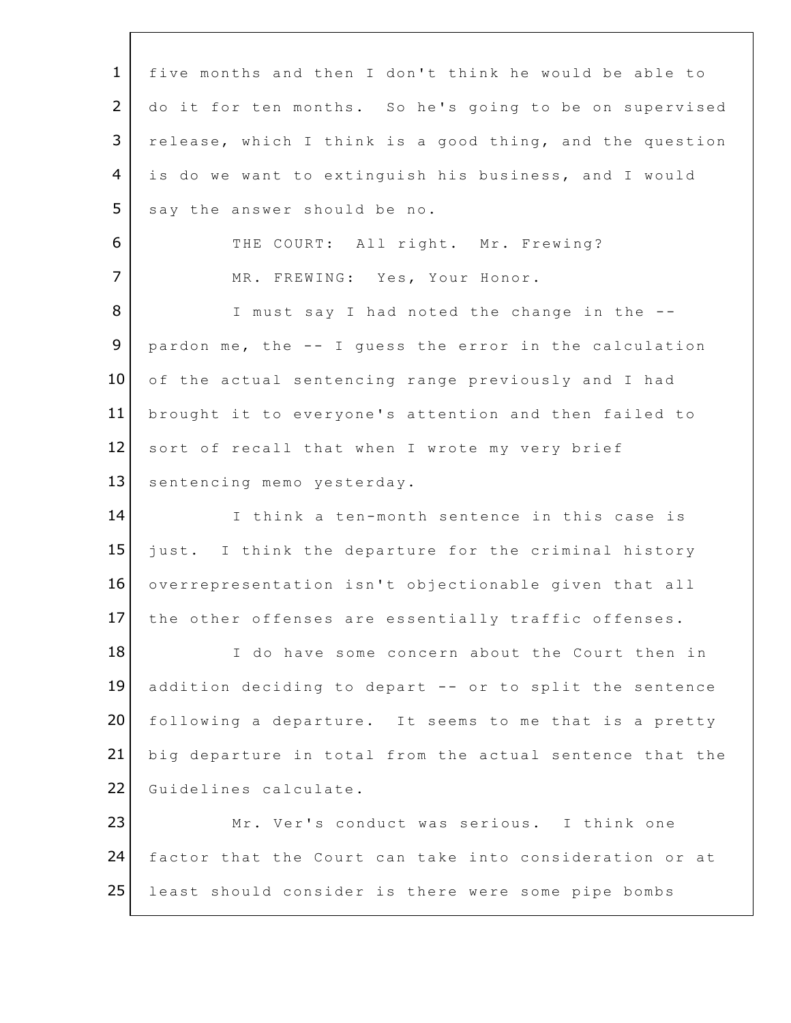1 five months and then I don't think he would be able to 2 do it for ten months. So he's going to be on supervised 3 | release, which I think is a good thing, and the question 4 is do we want to extinguish his business, and I would  $5$  say the answer should be no. 6 THE COURT: All right. Mr. Frewing? 7 MR. FREWING: Yes, Your Honor. 8 I must say I had noted the change in the --**9** pardon me, the  $--$  I quess the error in the calculation 10 of the actual sentencing range previously and I had 11 brought it to everyone's attention and then failed to 12 sort of recall that when I wrote my very brief 13 sentencing memo yesterday. 14 I think a ten-month sentence in this case is 15 just. I think the departure for the criminal history 16 overrepresentation isn't objectionable given that all 17 the other offenses are essentially traffic offenses. 18 I do have some concern about the Court then in 19 addition deciding to depart -- or to split the sentence 20 following a departure. It seems to me that is a pretty 21 big departure in total from the actual sentence that the 22 Guidelines calculate. 23 Mr. Ver's conduct was serious. I think one 24 factor that the Court can take into consideration or at 25 least should consider is there were some pipe bombs

 $C_{\rm eff}$   $\sim$   $C_{\rm eff}$   $\sim$   $10^{-10}$   $\rm{cm}$   $\sim$   $10^{-10}$   $\rm{cm}$   $\sim$   $10^{-10}$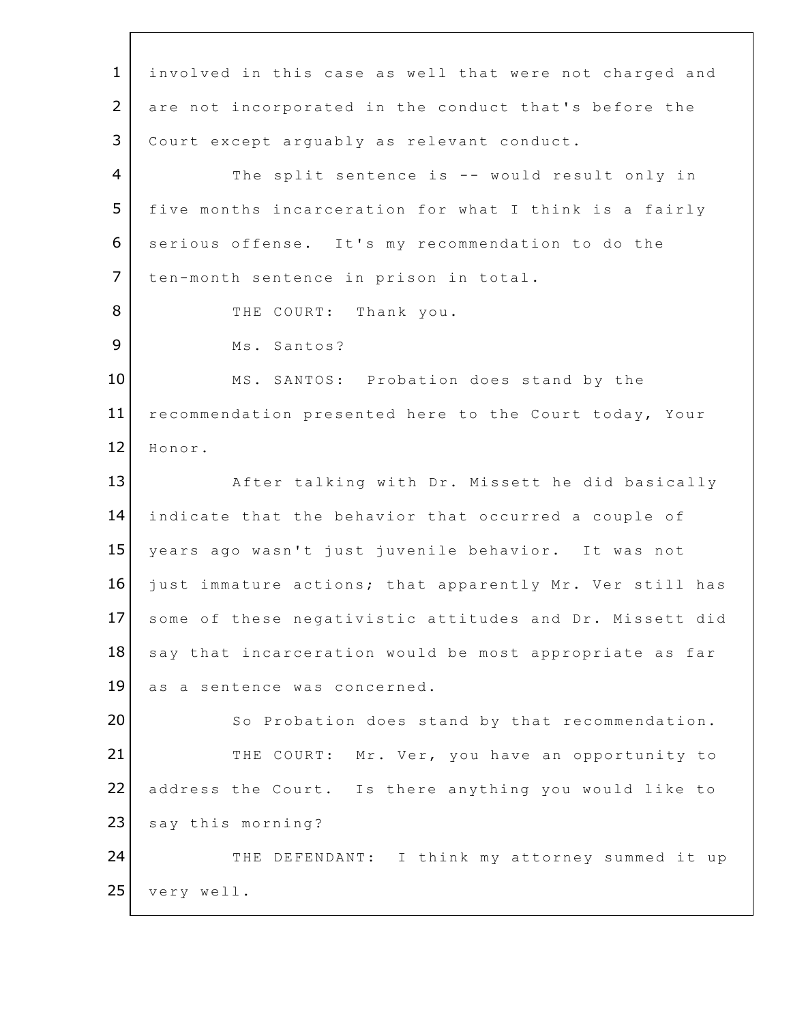1 involved in this case as well that were not charged and 2 are not incorporated in the conduct that's before the 3 | Court except arguably as relevant conduct. 4 The split sentence is -- would result only in 5 five months incarceration for what I think is a fairly 6 serious offense. It's my recommendation to do the 7 | ten-month sentence in prison in total. 8 THE COURT: Thank you. 9 Ms. Santos? 10 MS. SANTOS: Probation does stand by the 11 recommendation presented here to the Court today, Your 12 Honor. 13 After talking with Dr. Missett he did basically 14 indicate that the behavior that occurred a couple of 15 years ago wasn't just juvenile behavior. It was not 16 just immature actions; that apparently Mr. Ver still has 17 some of these negativistic attitudes and Dr. Missett did 18 say that incarceration would be most appropriate as far 19 as a sentence was concerned. 20 So Probation does stand by that recommendation. 21 THE COURT: Mr. Ver, you have an opportunity to 22 address the Court. Is there anything you would like to 23 say this morning? 24 THE DEFENDANT: I think my attorney summed it up  $25$  very well.

 $C_{\rm eff}$   $C_{\rm eff}$   $\sim$   $10^{14}$  Document $35$   $\pm$   $0.01$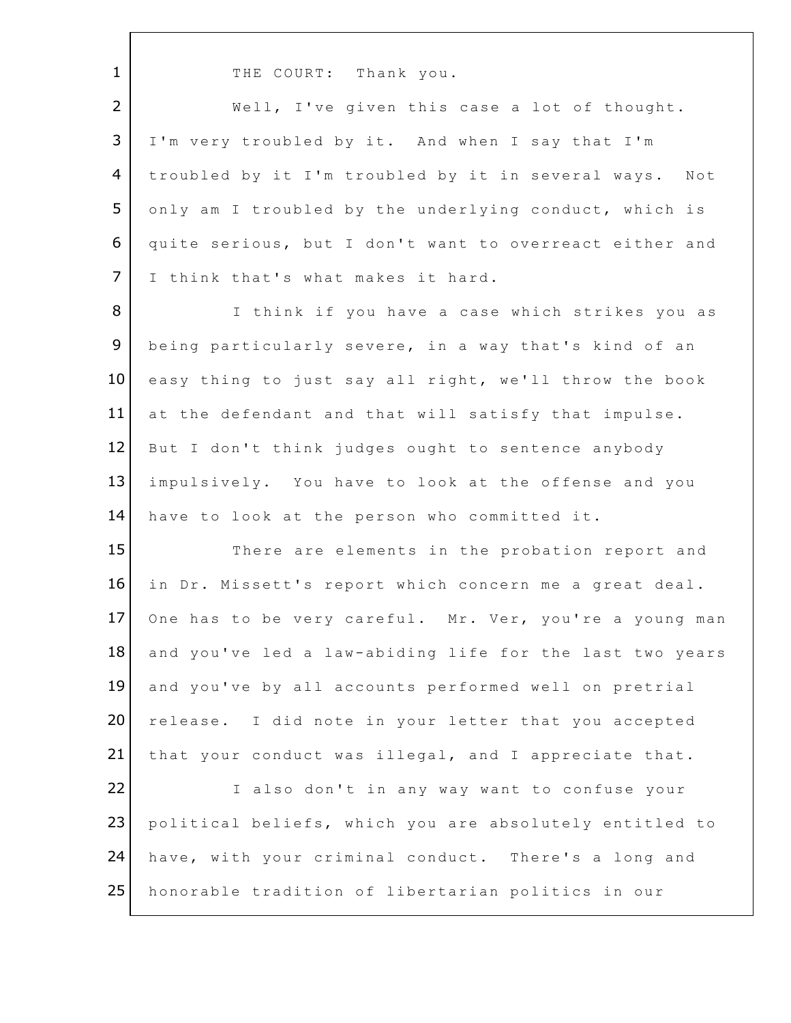1 THE COURT: Thank you.

2 | Well, I've given this case a lot of thought. 3 I'm very troubled by it. And when I say that I'm 4 | troubled by it I'm troubled by it in several ways. Not 5 only am I troubled by the underlying conduct, which is 6 quite serious, but I don't want to overreact either and 7 | I think that's what makes it hard.

8 I think if you have a case which strikes you as 9 being particularly severe, in a way that's kind of an 10 easy thing to just say all right, we'll throw the book 11 at the defendant and that will satisfy that impulse. 12 But I don't think judges ought to sentence anybody 13 impulsively. You have to look at the offense and you 14 have to look at the person who committed it.

15 There are elements in the probation report and 16 in Dr. Missett's report which concern me a great deal. 17 One has to be very careful. Mr. Ver, you're a young man 18 and you've led a law-abiding life for the last two years 19 and you've by all accounts performed well on pretrial 20 release. I did note in your letter that you accepted 21 that your conduct was illegal, and I appreciate that. 22 I also don't in any way want to confuse your 23 political beliefs, which you are absolutely entitled to

24 have, with your criminal conduct. There's a long and 25 honorable tradition of libertarian politics in our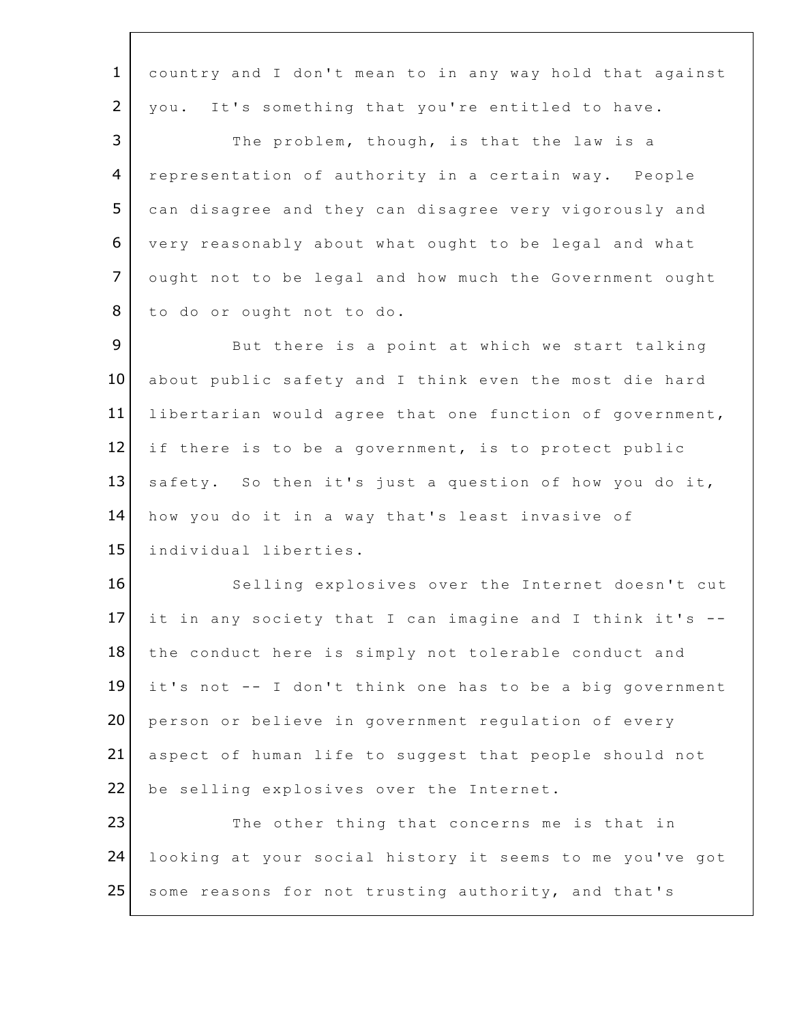1 country and I don't mean to in any way hold that against 2 | you. It's something that you're entitled to have. 3 The problem, though, is that the law is a 4 representation of authority in a certain way. People 5 can disagree and they can disagree very vigorously and 6 very reasonably about what ought to be legal and what 7 ought not to be legal and how much the Government ought 8 to do or ought not to do. 9 But there is a point at which we start talking 10 about public safety and I think even the most die hard 11 libertarian would agree that one function of government,  $12$  if there is to be a government, is to protect public 13 safety. So then it's just a question of how you do it, 14 how you do it in a way that's least invasive of 15 individual liberties. 16 Selling explosives over the Internet doesn't cut 17 it in any society that I can imagine and I think it's  $-$ 18 the conduct here is simply not tolerable conduct and  $19$  it's not  $-$ - I don't think one has to be a big government 20 person or believe in government regulation of every 21 aspect of human life to suggest that people should not 22 be selling explosives over the Internet. 23 The other thing that concerns me is that in 24 looking at your social history it seems to me you've got 25 some reasons for not trusting authority, and that's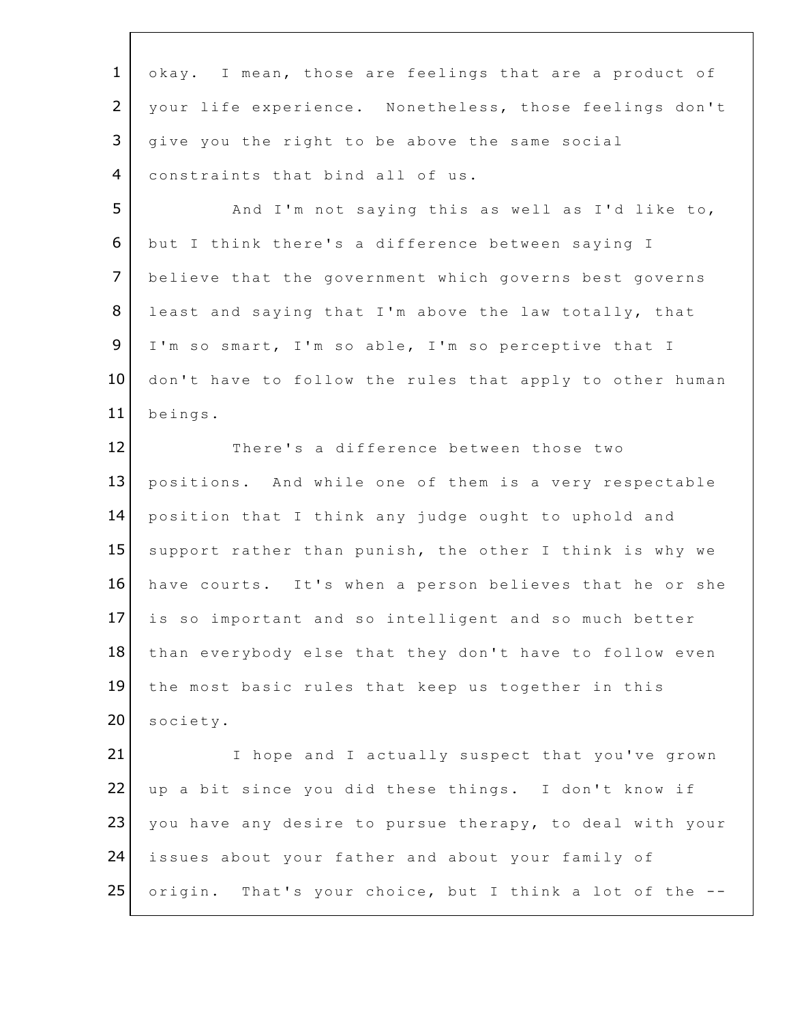1 okay. I mean, those are feelings that are a product of 2 | your life experience. Nonetheless, those feelings don't  $3$  give you the right to be above the same social 4 constraints that bind all of us. 5 | And I'm not saying this as well as I'd like to, 6 but I think there's a difference between saying I 7 believe that the government which governs best governs 8 least and saying that I'm above the law totally, that 9 | I'm so smart, I'm so able, I'm so perceptive that I 10 don't have to follow the rules that apply to other human 11 beings. 12 There's a difference between those two 13 positions. And while one of them is a very respectable 14 position that I think any judge ought to uphold and 15 support rather than punish, the other I think is why we 16 have courts. It's when a person believes that he or she 17 is so important and so intelligent and so much better 18 than everybody else that they don't have to follow even 19 the most basic rules that keep us together in this 20 society. 21 I hope and I actually suspect that you've grown 22 up a bit since you did these things. I don't know if 23 you have any desire to pursue therapy, to deal with your 24 issues about your father and about your family of 25 origin. That's your choice, but I think a lot of the --

 $C_{\rm eff}$   $C_{\rm eff}$   $\sim$   $10^{14}$  Document $35$   $\pm$   $10^{14}$   $\pm$   $10^{14}$   $\pm$   $10^{14}$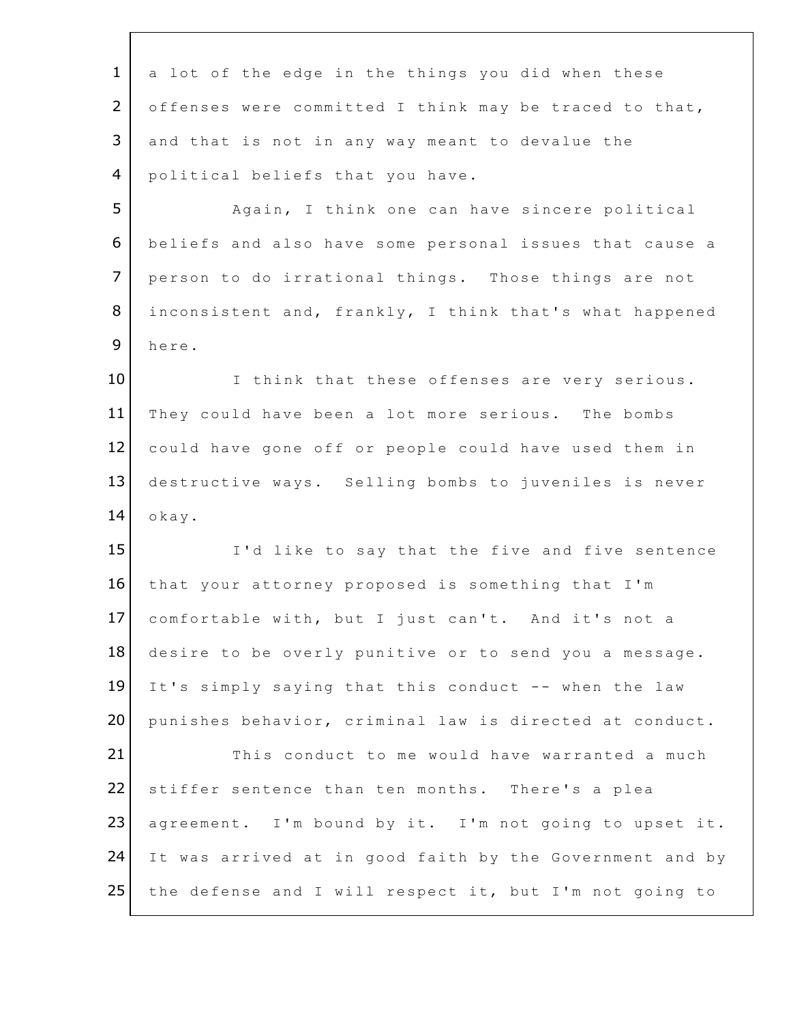1 a lot of the edge in the things you did when these 2 offenses were committed I think may be traced to that, 3 and that is not in any way meant to devalue the 4 political beliefs that you have. 5 | Again, I think one can have sincere political 6 beliefs and also have some personal issues that cause a 7 person to do irrational things. Those things are not 8 inconsistent and, frankly, I think that's what happened 9 here. 10 I think that these offenses are very serious. 11 They could have been a lot more serious. The bombs 12 could have gone off or people could have used them in 13 destructive ways. Selling bombs to juveniles is never  $14$  okay. 15 I'd like to say that the five and five sentence 16 that your attorney proposed is something that I'm 17 comfortable with, but I just can't. And it's not a 18 desire to be overly punitive or to send you a message. 19 It's simply saying that this conduct -- when the law 20 punishes behavior, criminal law is directed at conduct. 21 This conduct to me would have warranted a much 22 stiffer sentence than ten months. There's a plea 23 agreement. I'm bound by it. I'm not going to upset it. 24 It was arrived at in good faith by the Government and by 25 the defense and I will respect it, but I'm not going to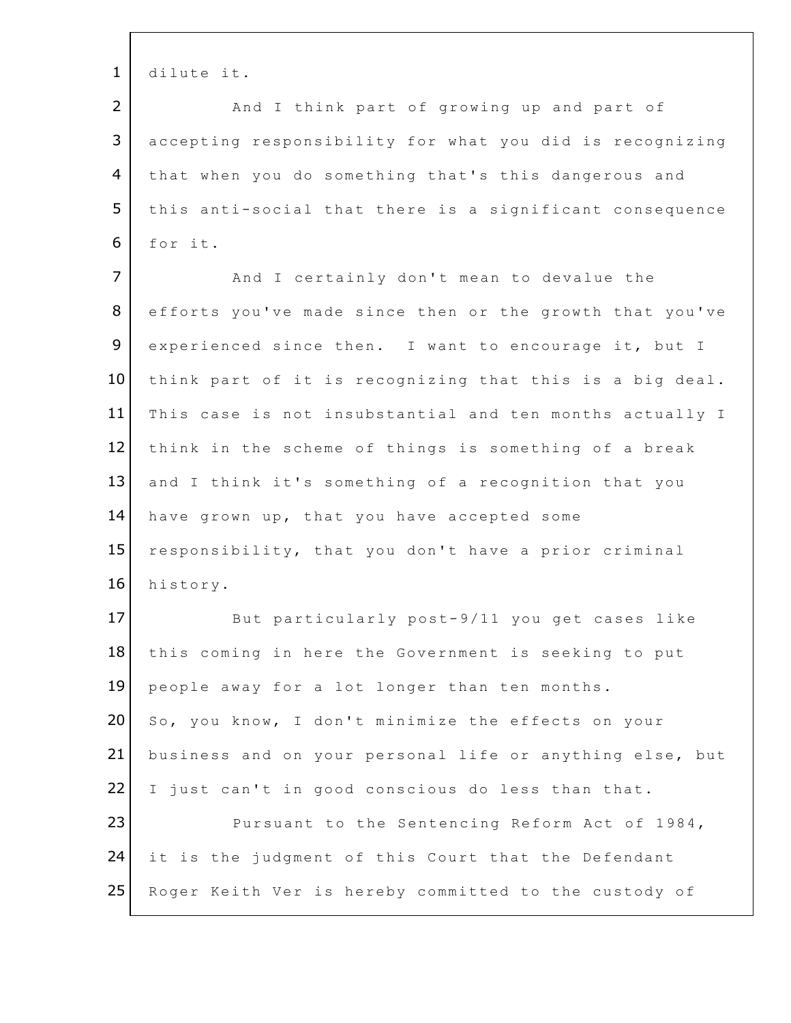1 dilute it.

2 | And I think part of growing up and part of 3 accepting responsibility for what you did is recognizing 4 that when you do something that's this dangerous and 5 | this anti-social that there is a significant consequence 6 for it. 7 | And I certainly don't mean to devalue the 8 efforts you've made since then or the growth that you've 9 experienced since then. I want to encourage it, but I 10 think part of it is recognizing that this is a big deal. 11 This case is not insubstantial and ten months actually I  $12$  think in the scheme of things is something of a break 13 and I think it's something of a recognition that you 14 have grown up, that you have accepted some 15 responsibility, that you don't have a prior criminal 16 history. 17 But particularly post-9/11 you get cases like 18 this coming in here the Government is seeking to put 19 people away for a lot longer than ten months. 20 So, you know, I don't minimize the effects on your 21 business and on your personal life or anything else, but 22 I just can't in good conscious do less than that. 23 Pursuant to the Sentencing Reform Act of 1984, 24 it is the judgment of this Court that the Defendant

25 Roger Keith Ver is hereby committed to the custody of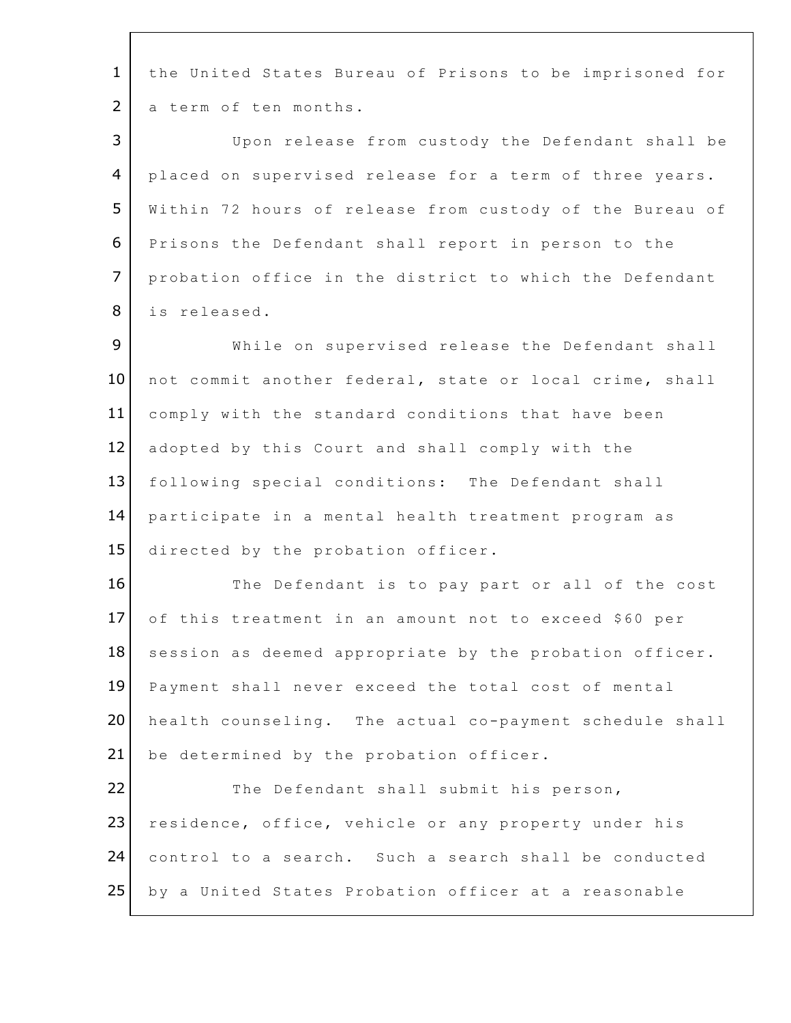1 the United States Bureau of Prisons to be imprisoned for 2 a term of ten months. 3 Upon release from custody the Defendant shall be 4 placed on supervised release for a term of three years. 5 Within 72 hours of release from custody of the Bureau of 6 Prisons the Defendant shall report in person to the 7 probation office in the district to which the Defendant 8 | is released. 9 While on supervised release the Defendant shall 10 not commit another federal, state or local crime, shall 11 comply with the standard conditions that have been 12 adopted by this Court and shall comply with the 13 following special conditions: The Defendant shall 14 participate in a mental health treatment program as 15 directed by the probation officer. 16 The Defendant is to pay part or all of the cost 17 of this treatment in an amount not to exceed \$60 per 18 session as deemed appropriate by the probation officer. 19 Payment shall never exceed the total cost of mental 20 health counseling. The actual co-payment schedule shall 21 be determined by the probation officer. 22 The Defendant shall submit his person, 23 residence, office, vehicle or any property under his 24 control to a search. Such a search shall be conducted 25 by a United States Probation officer at a reasonable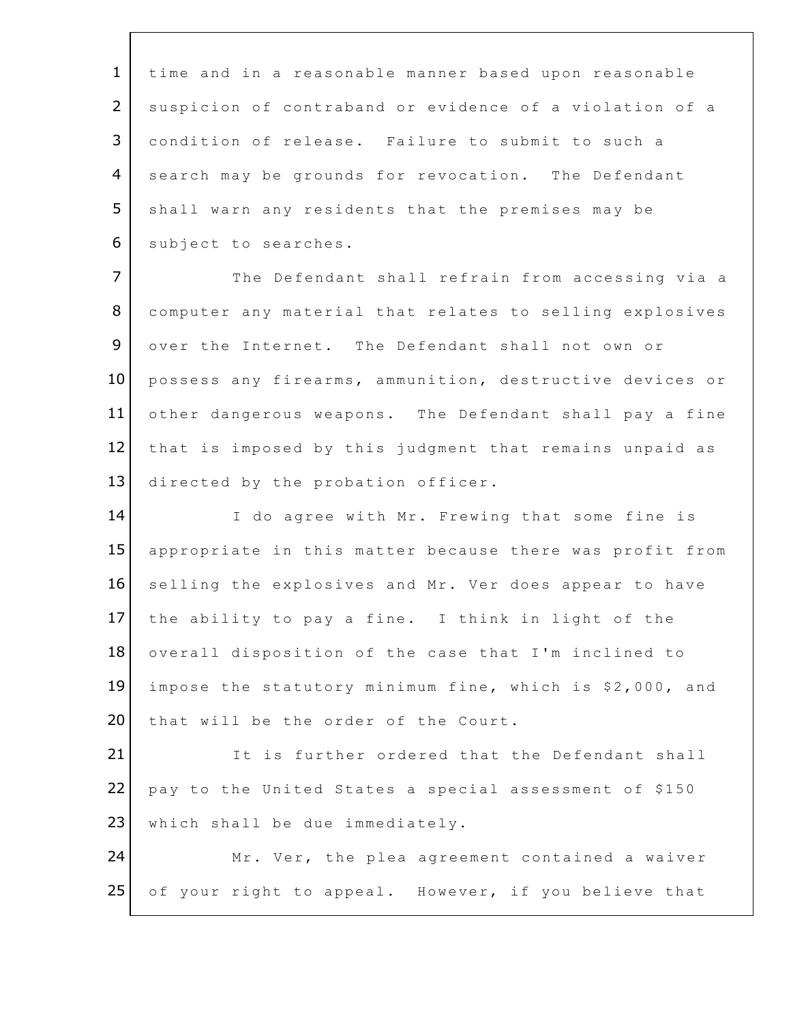1 time and in a reasonable manner based upon reasonable 2 | suspicion of contraband or evidence of a violation of a 3 condition of release. Failure to submit to such a 4 search may be grounds for revocation. The Defendant  $5$  shall warn any residents that the premises may be 6 | subject to searches. 7 The Defendant shall refrain from accessing via a 8 computer any material that relates to selling explosives 9 over the Internet. The Defendant shall not own or 10 possess any firearms, ammunition, destructive devices or 11 other dangerous weapons. The Defendant shall pay a fine  $12$  that is imposed by this judgment that remains unpaid as 13 directed by the probation officer. 14 I do agree with Mr. Frewing that some fine is 15 appropriate in this matter because there was profit from 16 selling the explosives and Mr. Ver does appear to have  $17$  the ability to pay a fine. I think in light of the 18 overall disposition of the case that I'm inclined to 19 impose the statutory minimum fine, which is \$2,000, and 20 that will be the order of the Court. 21 It is further ordered that the Defendant shall 22 pay to the United States a special assessment of \$150 23 | which shall be due immediately. 24 Mr. Ver, the plea agreement contained a waiver 25 of your right to appeal. However, if you believe that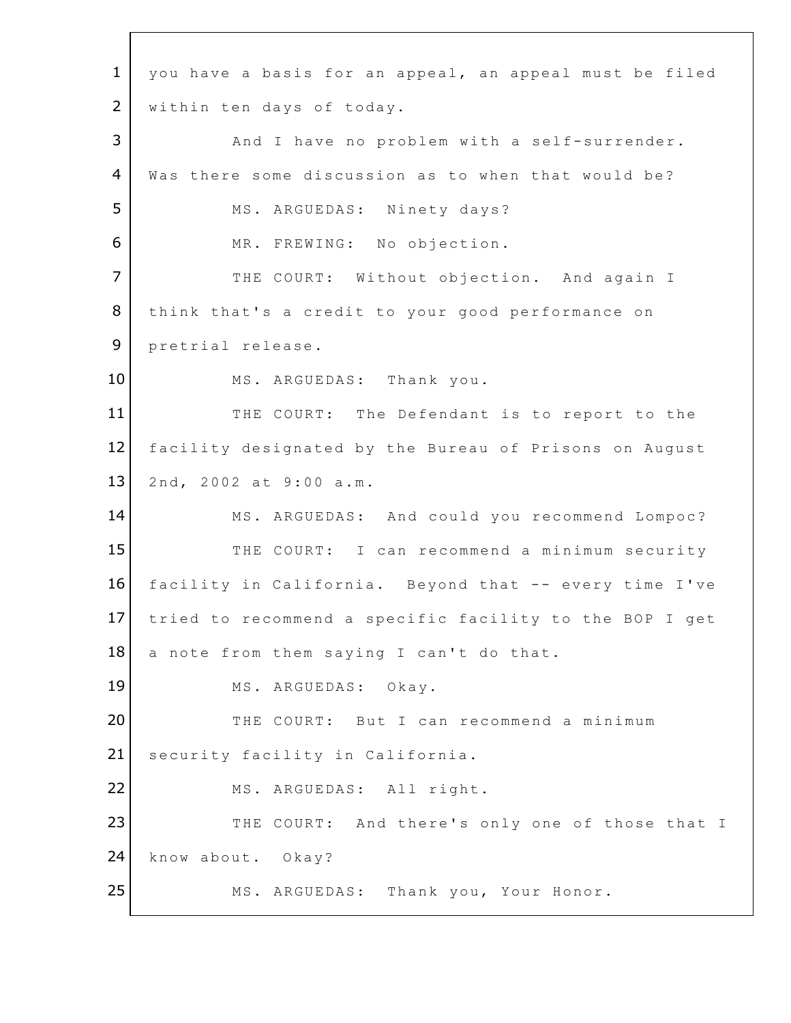1 you have a basis for an appeal, an appeal must be filed 2 | within ten days of today. 3 | And I have no problem with a self-surrender. 4 Was there some discussion as to when that would be? 5 | MS. ARGUEDAS: Ninety days? 6 MR. FREWING: No objection. 7 THE COURT: Without objection. And again I 8 | think that's a credit to your good performance on 9 pretrial release. 10 MS. ARGUEDAS: Thank you. 11 THE COURT: The Defendant is to report to the 12 facility designated by the Bureau of Prisons on August 13 2nd, 2002 at 9:00 a.m. 14 MS. ARGUEDAS: And could you recommend Lompoc? 15 THE COURT: I can recommend a minimum security 16 facility in California. Beyond that -- every time I've 17 tried to recommend a specific facility to the BOP I get  $18$  a note from them saying I can't do that. 19 MS. ARGUEDAS: Okay. 20 THE COURT: But I can recommend a minimum 21 security facility in California. 22 MS. ARGUEDAS: All right. 23 THE COURT: And there's only one of those that I 24 know about. Okay? 25 MS. ARGUEDAS: Thank you, Your Honor.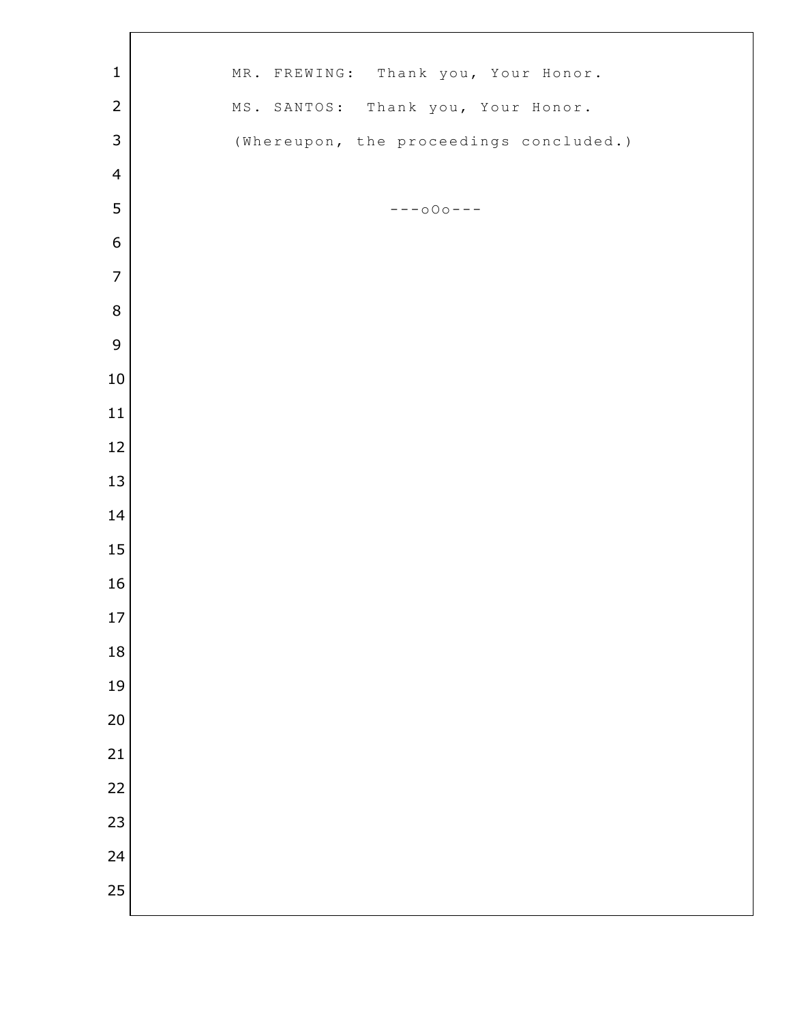| $\mathbf 1$      | MR. FREWING: Thank you, Your Honor.     |
|------------------|-----------------------------------------|
| $\overline{2}$   | MS. SANTOS: Thank you, Your Honor.      |
| $\mathsf 3$      | (Whereupon, the proceedings concluded.) |
| $\overline{4}$   |                                         |
| 5                | $--000--$                               |
| $\boldsymbol{6}$ |                                         |
| $\overline{7}$   |                                         |
| $\, 8$           |                                         |
| 9                |                                         |
| 10               |                                         |
| $11\,$           |                                         |
| 12               |                                         |
| 13               |                                         |
| 14               |                                         |
| 15               |                                         |
| 16               |                                         |
| $17\,$           |                                         |
| 18               |                                         |
| 19               |                                         |
| 20               |                                         |
| 21               |                                         |
| 22               |                                         |
| 23               |                                         |
|                  |                                         |
| 24               |                                         |
| 25               |                                         |